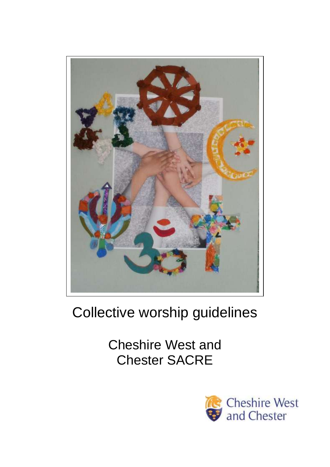

# Collective worship guidelines

Cheshire West and Chester SACRE

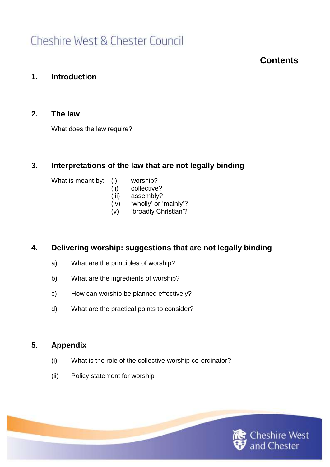## **Contents**

### **1. Introduction**

### **2. The law**

What does the law require?

### **3. Interpretations of the law that are not legally binding**

What is meant by: (i) worship?

- 
- (ii) collective?
- (iii) assembly?
- (iv) 'wholly' or 'mainly'?
- (v) 'broadly Christian'?

### **4. Delivering worship: suggestions that are not legally binding**

- a) What are the principles of worship?
- b) What are the ingredients of worship?
- c) How can worship be planned effectively?
- d) What are the practical points to consider?

### **5. Appendix**

- (i) What is the role of the collective worship co-ordinator?
- (ii) Policy statement for worship

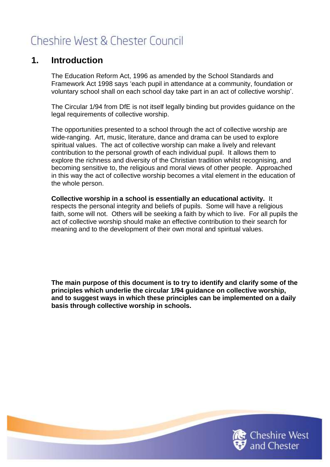### **1. Introduction**

The Education Reform Act, 1996 as amended by the School Standards and Framework Act 1998 says 'each pupil in attendance at a community, foundation or voluntary school shall on each school day take part in an act of collective worship'.

The Circular 1/94 from DfE is not itself legally binding but provides guidance on the legal requirements of collective worship.

The opportunities presented to a school through the act of collective worship are wide-ranging. Art, music, literature, dance and drama can be used to explore spiritual values. The act of collective worship can make a lively and relevant contribution to the personal growth of each individual pupil. It allows them to explore the richness and diversity of the Christian tradition whilst recognising, and becoming sensitive to, the religious and moral views of other people. Approached in this way the act of collective worship becomes a vital element in the education of the whole person.

**Collective worship in a school is essentially an educational activity.** It respects the personal integrity and beliefs of pupils. Some will have a religious faith, some will not. Others will be seeking a faith by which to live. For all pupils the act of collective worship should make an effective contribution to their search for meaning and to the development of their own moral and spiritual values.

**The main purpose of this document is to try to identify and clarify some of the principles which underlie the circular 1/94 guidance on collective worship, and to suggest ways in which these principles can be implemented on a daily basis through collective worship in schools.** 

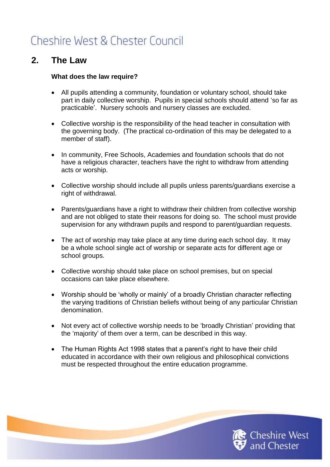## **2. The Law**

#### **What does the law require?**

- All pupils attending a community, foundation or voluntary school, should take part in daily collective worship. Pupils in special schools should attend 'so far as practicable'. Nursery schools and nursery classes are excluded.
- Collective worship is the responsibility of the head teacher in consultation with the governing body. (The practical co-ordination of this may be delegated to a member of staff).
- In community, Free Schools, Academies and foundation schools that do not have a religious character, teachers have the right to withdraw from attending acts or worship.
- Collective worship should include all pupils unless parents/guardians exercise a right of withdrawal.
- Parents/guardians have a right to withdraw their children from collective worship and are not obliged to state their reasons for doing so. The school must provide supervision for any withdrawn pupils and respond to parent/guardian requests.
- The act of worship may take place at any time during each school day. It may be a whole school single act of worship or separate acts for different age or school groups.
- Collective worship should take place on school premises, but on special occasions can take place elsewhere.
- Worship should be 'wholly or mainly' of a broadly Christian character reflecting the varying traditions of Christian beliefs without being of any particular Christian denomination.
- Not every act of collective worship needs to be 'broadly Christian' providing that the 'majority' of them over a term, can be described in this way.
- The Human Rights Act 1998 states that a parent's right to have their child educated in accordance with their own religious and philosophical convictions must be respected throughout the entire education programme.

Cheshire West<br>and Chester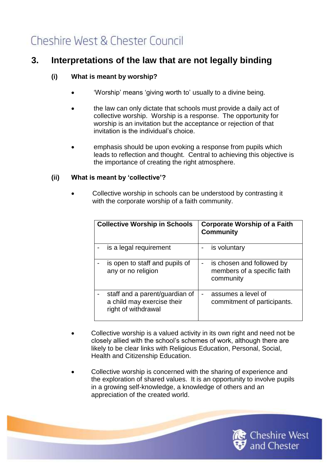## **3. Interpretations of the law that are not legally binding**

### **(i) What is meant by worship?**

- 'Worship' means 'giving worth to' usually to a divine being.
- the law can only dictate that schools must provide a daily act of collective worship. Worship is a response. The opportunity for worship is an invitation but the acceptance or rejection of that invitation is the individual's choice.
- emphasis should be upon evoking a response from pupils which leads to reflection and thought. Central to achieving this objective is the importance of creating the right atmosphere.

### **(ii) What is meant by 'collective'?**

 Collective worship in schools can be understood by contrasting it with the corporate worship of a faith community.

| <b>Collective Worship in Schools</b>                                                | <b>Corporate Worship of a Faith</b><br><b>Community</b>               |
|-------------------------------------------------------------------------------------|-----------------------------------------------------------------------|
| is a legal requirement                                                              | is voluntary                                                          |
| is open to staff and pupils of<br>any or no religion                                | is chosen and followed by<br>members of a specific faith<br>community |
| staff and a parent/guardian of<br>a child may exercise their<br>right of withdrawal | assumes a level of<br>commitment of participants.                     |

- Collective worship is a valued activity in its own right and need not be closely allied with the school's schemes of work, although there are likely to be clear links with Religious Education, Personal, Social, Health and Citizenship Education.
- Collective worship is concerned with the sharing of experience and the exploration of shared values. It is an opportunity to involve pupils in a growing self-knowledge, a knowledge of others and an appreciation of the created world.

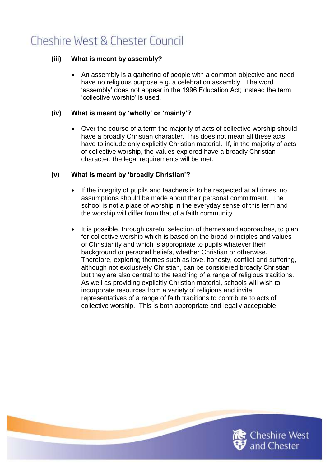### **(iii) What is meant by assembly?**

 An assembly is a gathering of people with a common objective and need have no religious purpose e.g. a celebration assembly. The word 'assembly' does not appear in the 1996 Education Act; instead the term 'collective worship' is used.

### **(iv) What is meant by 'wholly' or 'mainly'?**

 Over the course of a term the majority of acts of collective worship should have a broadly Christian character. This does not mean all these acts have to include only explicitly Christian material. If, in the majority of acts of collective worship, the values explored have a broadly Christian character, the legal requirements will be met.

### **(v) What is meant by 'broadly Christian'?**

- If the integrity of pupils and teachers is to be respected at all times, no assumptions should be made about their personal commitment. The school is not a place of worship in the everyday sense of this term and the worship will differ from that of a faith community.
- It is possible, through careful selection of themes and approaches, to plan for collective worship which is based on the broad principles and values of Christianity and which is appropriate to pupils whatever their background or personal beliefs, whether Christian or otherwise. Therefore, exploring themes such as love, honesty, conflict and suffering, although not exclusively Christian, can be considered broadly Christian but they are also central to the teaching of a range of religious traditions. As well as providing explicitly Christian material, schools will wish to incorporate resources from a variety of religions and invite representatives of a range of faith traditions to contribute to acts of collective worship. This is both appropriate and legally acceptable.

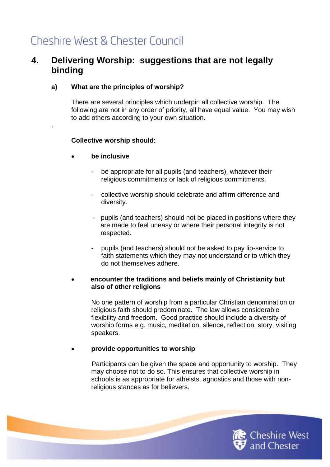## **4. Delivering Worship: suggestions that are not legally binding**

### **a) What are the principles of worship?**

There are several principles which underpin all collective worship. The following are not in any order of priority, all have equal value. You may wish to add others according to your own situation.

#### **Collective worship should:**

**be inclusive** 

.

- be appropriate for all pupils (and teachers), whatever their religious commitments or lack of religious commitments.
- collective worship should celebrate and affirm difference and diversity.
- pupils (and teachers) should not be placed in positions where they are made to feel uneasy or where their personal integrity is not respected.
- pupils (and teachers) should not be asked to pay lip-service to faith statements which they may not understand or to which they do not themselves adhere.

#### **encounter the traditions and beliefs mainly of Christianity but also of other religions**

No one pattern of worship from a particular Christian denomination or religious faith should predominate. The law allows considerable flexibility and freedom. Good practice should include a diversity of worship forms e.g. music, meditation, silence, reflection, story, visiting speakers.

**provide opportunities to worship** 

Participants can be given the space and opportunity to worship. They may choose not to do so. This ensures that collective worship in schools is as appropriate for atheists, agnostics and those with nonreligious stances as for believers.

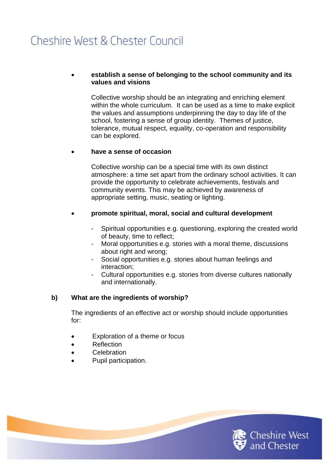#### **establish a sense of belonging to the school community and its values and visions**

Collective worship should be an integrating and enriching element within the whole curriculum. It can be used as a time to make explicit the values and assumptions underpinning the day to day life of the school, fostering a sense of group identity. Themes of justice, tolerance, mutual respect, equality, co-operation and responsibility can be explored.

#### **have a sense of occasion**

Collective worship can be a special time with its own distinct atmosphere: a time set apart from the ordinary school activities. It can provide the opportunity to celebrate achievements, festivals and community events. This may be achieved by awareness of appropriate setting, music, seating or lighting.

#### **promote spiritual, moral, social and cultural development**

- Spiritual opportunities e.g. questioning, exploring the created world of beauty, time to reflect;
- Moral opportunities e.g. stories with a moral theme, discussions about right and wrong;
- Social opportunities e.g. stories about human feelings and interaction;
- Cultural opportunities e.g. stories from diverse cultures nationally and internationally.

#### **b) What are the ingredients of worship?**

The ingredients of an effective act or worship should include opportunities for:

- Exploration of a theme or focus
- Reflection
- **•** Celebration
- Pupil participation.

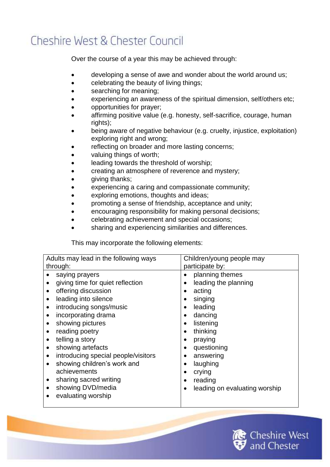Over the course of a year this may be achieved through:

- developing a sense of awe and wonder about the world around us;
- **•** celebrating the beauty of living things;
- searching for meaning;
- experiencing an awareness of the spiritual dimension, self/others etc;
- opportunities for prayer;
- affirming positive value (e.g. honesty, self-sacrifice, courage, human rights);
- being aware of negative behaviour (e.g. cruelty, injustice, exploitation) exploring right and wrong;
- reflecting on broader and more lasting concerns;
- valuing things of worth;
- leading towards the threshold of worship;
- creating an atmosphere of reverence and mystery;
- giving thanks;
- experiencing a caring and compassionate community;
- exploring emotions, thoughts and ideas;
- promoting a sense of friendship, acceptance and unity;
- encouraging responsibility for making personal decisions;
- celebrating achievement and special occasions;
- sharing and experiencing similarities and differences.

This may incorporate the following elements:

| Adults may lead in the following ways                                                                                                                                                                                                                                                                                                                                                                                              | Children/young people may<br>participate by:                                                                                                                                                                                                                                                            |
|------------------------------------------------------------------------------------------------------------------------------------------------------------------------------------------------------------------------------------------------------------------------------------------------------------------------------------------------------------------------------------------------------------------------------------|---------------------------------------------------------------------------------------------------------------------------------------------------------------------------------------------------------------------------------------------------------------------------------------------------------|
| through:<br>saying prayers<br>giving time for quiet reflection<br>offering discussion<br>$\bullet$<br>leading into silence<br>٠<br>introducing songs/music<br>٠<br>incorporating drama<br>showing pictures<br>reading poetry<br>telling a story<br>showing artefacts<br>٠<br>introducing special people/visitors<br>٠<br>showing children's work and<br>٠<br>achievements<br>sharing sacred writing<br>٠<br>showing DVD/media<br>٠ | planning themes<br>$\bullet$<br>leading the planning<br>acting<br>singing<br>leading<br>dancing<br>$\bullet$<br>listening<br>$\bullet$<br>thinking<br>$\bullet$<br>praying<br>٠<br>questioning<br>$\bullet$<br>answering<br>laughing<br>$\bullet$<br>crying<br>reading<br>leading on evaluating worship |

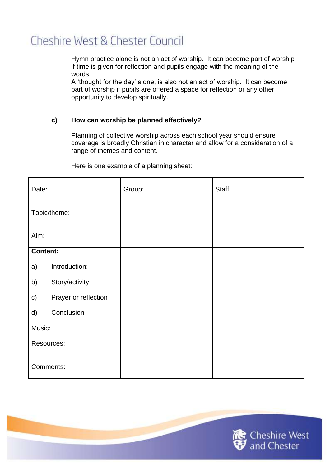Hymn practice alone is not an act of worship. It can become part of worship if time is given for reflection and pupils engage with the meaning of the words.

A 'thought for the day' alone, is also not an act of worship. It can become part of worship if pupils are offered a space for reflection or any other opportunity to develop spiritually.

### **c) How can worship be planned effectively?**

Planning of collective worship across each school year should ensure coverage is broadly Christian in character and allow for a consideration of a range of themes and content.

| Date:                                 | Group: | Staff: |
|---------------------------------------|--------|--------|
| Topic/theme:                          |        |        |
| Aim:                                  |        |        |
| <b>Content:</b>                       |        |        |
| Introduction:<br>a)                   |        |        |
| Story/activity<br>b)                  |        |        |
| Prayer or reflection<br>$\mathsf{c})$ |        |        |
| Conclusion<br>d)                      |        |        |
| Music:                                |        |        |
| Resources:                            |        |        |
| Comments:                             |        |        |

Here is one example of a planning sheet:

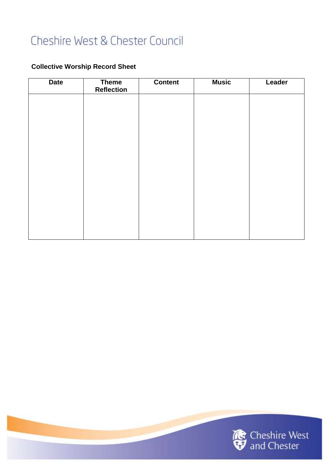### **Collective Worship Record Sheet**

| <b>Date</b> | <b>Theme</b><br><b>Reflection</b> | <b>Content</b> | <b>Music</b> | Leader |
|-------------|-----------------------------------|----------------|--------------|--------|
|             |                                   |                |              |        |
|             |                                   |                |              |        |
|             |                                   |                |              |        |
|             |                                   |                |              |        |
|             |                                   |                |              |        |
|             |                                   |                |              |        |
|             |                                   |                |              |        |
|             |                                   |                |              |        |
|             |                                   |                |              |        |

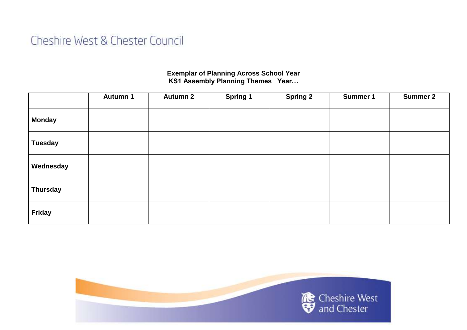### **Exemplar of Planning Across School Year KS1 Assembly Planning Themes Year…**

|                 | Autumn 1 | <b>Autumn 2</b> | <b>Spring 1</b> | <b>Spring 2</b> | <b>Summer 1</b> | <b>Summer 2</b> |
|-----------------|----------|-----------------|-----------------|-----------------|-----------------|-----------------|
| <b>Monday</b>   |          |                 |                 |                 |                 |                 |
| <b>Tuesday</b>  |          |                 |                 |                 |                 |                 |
| Wednesday       |          |                 |                 |                 |                 |                 |
| <b>Thursday</b> |          |                 |                 |                 |                 |                 |
| Friday          |          |                 |                 |                 |                 |                 |

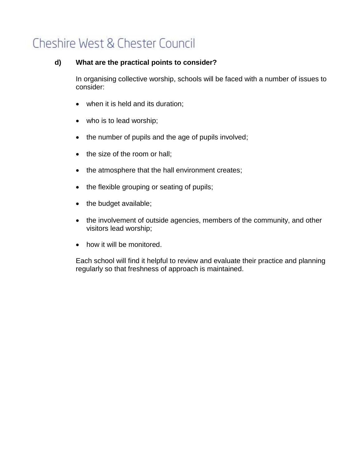#### **d) What are the practical points to consider?**

In organising collective worship, schools will be faced with a number of issues to consider:

- when it is held and its duration;
- who is to lead worship;
- the number of pupils and the age of pupils involved;
- the size of the room or hall;
- the atmosphere that the hall environment creates;
- the flexible grouping or seating of pupils;
- the budget available;
- the involvement of outside agencies, members of the community, and other visitors lead worship;
- how it will be monitored.

Each school will find it helpful to review and evaluate their practice and planning regularly so that freshness of approach is maintained.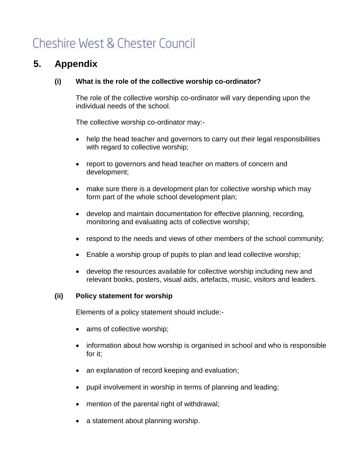## **5. Appendix**

#### **(i) What is the role of the collective worship co-ordinator?**

The role of the collective worship co-ordinator will vary depending upon the individual needs of the school.

The collective worship co-ordinator may:-

- help the head teacher and governors to carry out their legal responsibilities with regard to collective worship;
- report to governors and head teacher on matters of concern and development;
- make sure there is a development plan for collective worship which may form part of the whole school development plan;
- develop and maintain documentation for effective planning, recording, monitoring and evaluating acts of collective worship;
- respond to the needs and views of other members of the school community;
- Enable a worship group of pupils to plan and lead collective worship;
- develop the resources available for collective worship including new and relevant books, posters, visual aids, artefacts, music, visitors and leaders.

#### **(ii) Policy statement for worship**

Elements of a policy statement should include:-

- aims of collective worship;
- information about how worship is organised in school and who is responsible for it;
- an explanation of record keeping and evaluation;
- pupil involvement in worship in terms of planning and leading;
- mention of the parental right of withdrawal;
- a statement about planning worship.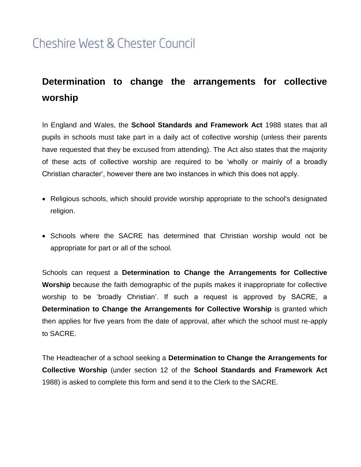## **Determination to change the arrangements for collective worship**

In England and Wales, the **School Standards and Framework Act** 1988 states that all pupils in schools must take part in a daily act of collective worship (unless their parents have requested that they be excused from attending). The Act also states that the majority of these acts of collective worship are required to be 'wholly or mainly of a broadly Christian character', however there are two instances in which this does not apply.

- Religious schools, which should provide worship appropriate to the school's designated religion.
- Schools where the SACRE has determined that Christian worship would not be appropriate for part or all of the school.

Schools can request a **Determination to Change the Arrangements for Collective Worship** because the faith demographic of the pupils makes it inappropriate for collective worship to be 'broadly Christian'. If such a request is approved by SACRE, a **Determination to Change the Arrangements for Collective Worship** is granted which then applies for five years from the date of approval, after which the school must re-apply to SACRE.

The Headteacher of a school seeking a **Determination to Change the Arrangements for Collective Worship** (under section 12 of the **School Standards and Framework Act** 1988) is asked to complete this form and send it to the Clerk to the SACRE.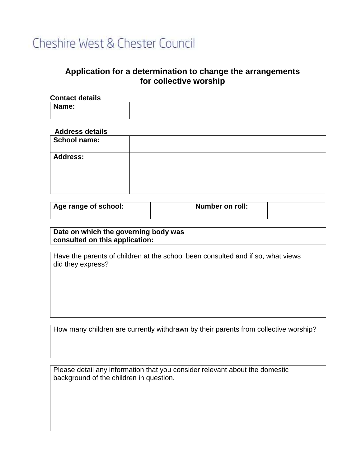### **Application for a determination to change the arrangements for collective worship**

| <b>Contact details</b> |  |
|------------------------|--|
| Name:                  |  |
|                        |  |

#### **Address details**

| <b>School name:</b> |  |
|---------------------|--|
| <b>Address:</b>     |  |

| Age range of school: | <b>Number on roll:</b> |  |
|----------------------|------------------------|--|
|                      |                        |  |

**Date on which the governing body was consulted on this application:**

Have the parents of children at the school been consulted and if so, what views did they express?

How many children are currently withdrawn by their parents from collective worship?

Please detail any information that you consider relevant about the domestic background of the children in question.